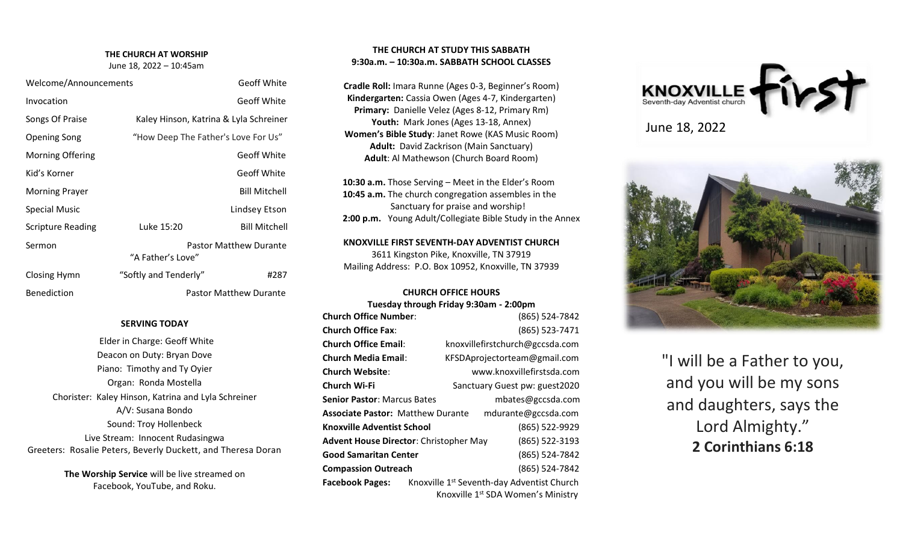# **THE CHURCH AT WORSHIP**

June 18, 2022 – 10:45am

| Welcome/Announcements    |                                        | Geoff White                   |
|--------------------------|----------------------------------------|-------------------------------|
| Invocation               |                                        | Geoff White                   |
| Songs Of Praise          | Kaley Hinson, Katrina & Lyla Schreiner |                               |
| <b>Opening Song</b>      | "How Deep The Father's Love For Us"    |                               |
| <b>Morning Offering</b>  |                                        | <b>Geoff White</b>            |
| Kid's Korner             |                                        | Geoff White                   |
| <b>Morning Prayer</b>    |                                        | <b>Bill Mitchell</b>          |
| <b>Special Music</b>     |                                        | Lindsey Etson                 |
| <b>Scripture Reading</b> | Luke 15:20                             | <b>Bill Mitchell</b>          |
| Sermon                   | "A Father's Love"                      | <b>Pastor Matthew Durante</b> |
| Closing Hymn             | "Softly and Tenderly"                  | #287                          |
| <b>Benediction</b>       |                                        | <b>Pastor Matthew Durante</b> |

## **SERVING TODAY**

Elder in Charge: Geoff White Deacon on Duty: Bryan Dove Piano: Timothy and Ty Oyier Organ: Ronda Mostella Chorister: Kaley Hinson, Katrina and Lyla Schreiner A/V: Susana Bondo Sound: Troy Hollenbeck Live Stream: Innocent Rudasingwa Greeters: Rosalie Peters, Beverly Duckett, and Theresa Doran

> **The Worship Service** will be live streamed on Facebook, YouTube, and Roku.

## **THE CHURCH AT STUDY THIS SABBATH 9:30a.m. – 10:30a.m. SABBATH SCHOOL CLASSES**

**Cradle Roll:** Imara Runne (Ages 0-3, Beginner's Room) **Kindergarten:** Cassia Owen (Ages 4-7, Kindergarten) **Primary:** Danielle Velez (Ages 8-12, Primary Rm) Youth: Mark Jones (Ages 13-18, Annex) **Women's Bible Study**: Janet Rowe (KAS Music Room) **Adult:** David Zackrison (Main Sanctuary) **Adult**: Al Mathewson (Church Board Room)

 **10:30 a.m.** Those Serving – Meet in the Elder's Room  **10:45 a.m.** The church congregation assembles in the Sanctuary for praise and worship!  **2:00 p.m.** Young Adult/Collegiate Bible Study in the Annex

**KNOXVILLE FIRST SEVENTH-DAY ADVENTIST CHURCH** 3611 Kingston Pike, Knoxville, TN 37919 Mailing Address: P.O. Box 10952, Knoxville, TN 37939

### **CHURCH OFFICE HOURS**

**Tuesday through Friday 9:30am - 2:00pm**

| <b>Church Office Number:</b>                                    | (865) 524-7842                                                                                           |
|-----------------------------------------------------------------|----------------------------------------------------------------------------------------------------------|
| <b>Church Office Fax:</b>                                       | (865) 523-7471                                                                                           |
| <b>Church Office Email:</b>                                     | knoxvillefirstchurch@gccsda.com                                                                          |
| Church Media Email:                                             | KFSDAprojectorteam@gmail.com                                                                             |
| Church Website:                                                 | www.knoxvillefirstsda.com                                                                                |
| Church Wi-Fi                                                    | Sanctuary Guest pw: guest2020                                                                            |
| <b>Senior Pastor: Marcus Bates</b>                              | mbates@gccsda.com                                                                                        |
| <b>Associate Pastor: Matthew Durante</b>                        | mdurante@gccsda.com                                                                                      |
| Knoxville Adventist School                                      | (865) 522-9929                                                                                           |
| (865) 522-3193<br><b>Advent House Director: Christopher May</b> |                                                                                                          |
| Good Samaritan Center                                           | (865) 524-7842                                                                                           |
| <b>Compassion Outreach</b>                                      | (865) 524-7842                                                                                           |
| Facebook Pages:                                                 | Knoxville 1 <sup>st</sup> Seventh-day Adventist Church<br>Knoxville 1 <sup>st</sup> SDA Women's Ministry |



June 18, 2022



"I will be a Father to you, and you will be my sons and daughters, says the Lord Almighty." **2 Corinthians 6:18**